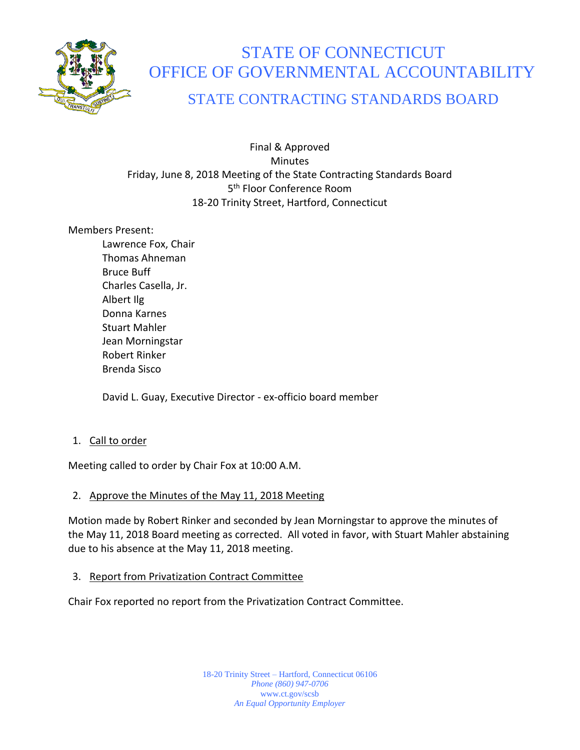

# STATE OF CONNECTICUT OFFICE OF GOVERNMENTAL ACCOUNTABILITY

# STATE CONTRACTING STANDARDS BOARD

Final & Approved **Minutes** Friday, June 8, 2018 Meeting of the State Contracting Standards Board 5 th Floor Conference Room 18-20 Trinity Street, Hartford, Connecticut

#### Members Present:

Lawrence Fox, Chair Thomas Ahneman Bruce Buff Charles Casella, Jr. Albert Ilg Donna Karnes Stuart Mahler Jean Morningstar Robert Rinker Brenda Sisco

David L. Guay, Executive Director - ex-officio board member

1. Call to order

Meeting called to order by Chair Fox at 10:00 A.M.

# 2. Approve the Minutes of the May 11, 2018 Meeting

Motion made by Robert Rinker and seconded by Jean Morningstar to approve the minutes of the May 11, 2018 Board meeting as corrected. All voted in favor, with Stuart Mahler abstaining due to his absence at the May 11, 2018 meeting.

3. Report from Privatization Contract Committee

Chair Fox reported no report from the Privatization Contract Committee.

18-20 Trinity Street – Hartford, Connecticut 06106 *Phone (860) 947-0706*  www.ct.gov/scsb *An Equal Opportunity Employer*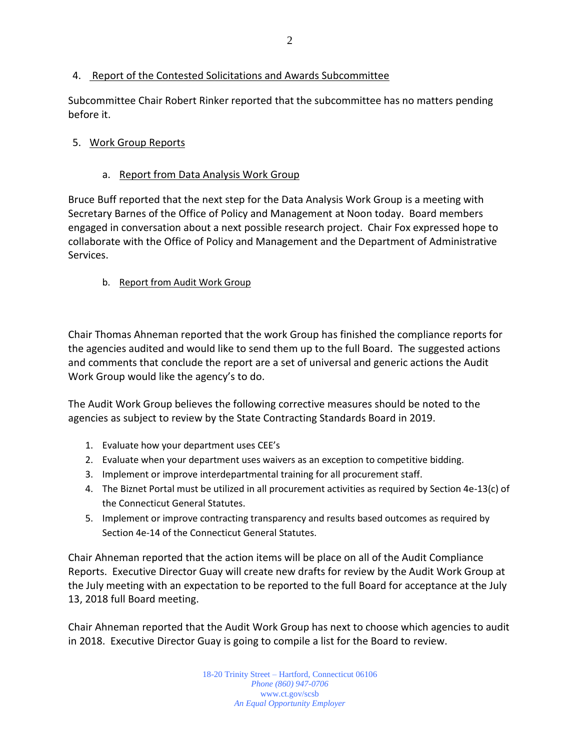#### 4. Report of the Contested Solicitations and Awards Subcommittee

Subcommittee Chair Robert Rinker reported that the subcommittee has no matters pending before it.

#### 5. Work Group Reports

#### a. Report from Data Analysis Work Group

Bruce Buff reported that the next step for the Data Analysis Work Group is a meeting with Secretary Barnes of the Office of Policy and Management at Noon today. Board members engaged in conversation about a next possible research project. Chair Fox expressed hope to collaborate with the Office of Policy and Management and the Department of Administrative Services.

#### b. Report from Audit Work Group

Chair Thomas Ahneman reported that the work Group has finished the compliance reports for the agencies audited and would like to send them up to the full Board. The suggested actions and comments that conclude the report are a set of universal and generic actions the Audit Work Group would like the agency's to do.

The Audit Work Group believes the following corrective measures should be noted to the agencies as subject to review by the State Contracting Standards Board in 2019.

- 1. Evaluate how your department uses CEE's
- 2. Evaluate when your department uses waivers as an exception to competitive bidding.
- 3. Implement or improve interdepartmental training for all procurement staff.
- 4. The Biznet Portal must be utilized in all procurement activities as required by Section 4e-13(c) of the Connecticut General Statutes.
- 5. Implement or improve contracting transparency and results based outcomes as required by Section 4e-14 of the Connecticut General Statutes.

Chair Ahneman reported that the action items will be place on all of the Audit Compliance Reports. Executive Director Guay will create new drafts for review by the Audit Work Group at the July meeting with an expectation to be reported to the full Board for acceptance at the July 13, 2018 full Board meeting.

Chair Ahneman reported that the Audit Work Group has next to choose which agencies to audit in 2018. Executive Director Guay is going to compile a list for the Board to review.

> 18-20 Trinity Street – Hartford, Connecticut 06106 *Phone (860) 947-0706*  www.ct.gov/scsb *An Equal Opportunity Employer*